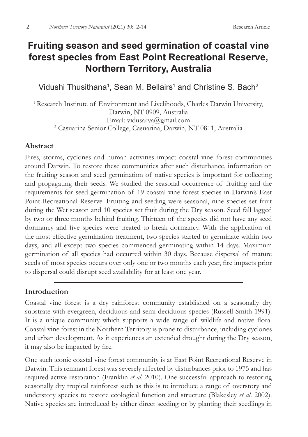# **Fruiting season and seed germination of coastal vine forest species from East Point Recreational Reserve, Northern Territory, Australia**

Vidushi Thusithana $^{\text{\tiny{\textup{1}}}}$ , Sean M. Bellairs $^{\text{\tiny{\textup{1}}}}$  and Christine S. Bach $^{\text{\tiny{\textup{2}}}}$ 

<sup>1</sup> Research Institute of Environment and Livelihoods, Charles Darwin University, Darwin, NT 0909, Australia Email: vidusarva@gmail.com 2 Casuarina Senior College, Casuarina, Darwin, NT 0811, Australia

### **Abstract**

Fires, storms, cyclones and human activities impact coastal vine forest communities around Darwin. To restore these communities after such disturbance, information on the fruiting season and seed germination of native species is important for collecting and propagating their seeds. We studied the seasonal occurrence of fruiting and the requirements for seed germination of 19 coastal vine forest species in Darwin's East Point Recreational Reserve. Fruiting and seeding were seasonal, nine species set fruit during the Wet season and 10 species set fruit during the Dry season. Seed fall lagged by two or three months behind fruiting. Thirteen of the species did not have any seed dormancy and five species were treated to break dormancy. With the application of the most effective germination treatment, two species started to germinate within two days, and all except two species commenced germinating within 14 days. Maximum germination of all species had occurred within 30 days. Because dispersal of mature seeds of most species occurs over only one or two months each year, fire impacts prior to dispersal could disrupt seed availability for at least one year.

# **Introduction**

Coastal vine forest is a dry rainforest community established on a seasonally dry substrate with evergreen, deciduous and semi-deciduous species (Russell-Smith 1991). It is a unique community which supports a wide range of wildlife and native flora. Coastal vine forest in the Northern Territory is prone to disturbance, including cyclones and urban development. As it experiences an extended drought during the Dry season, it may also be impacted by fire.

One such iconic coastal vine forest community is at East Point Recreational Reserve in Darwin. This remnant forest was severely affected by disturbances prior to 1975 and has required active restoration (Franklin *et al*. 2010). One successful approach to restoring seasonally dry tropical rainforest such as this is to introduce a range of overstory and understory species to restore ecological function and structure (Blakesley *et al*. 2002). Native species are introduced by either direct seeding or by planting their seedlings in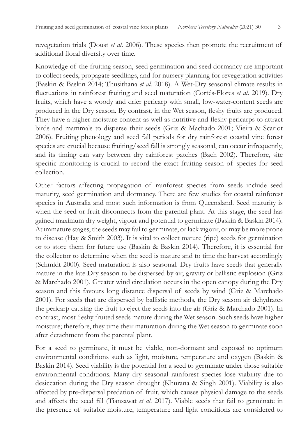revegetation trials (Doust *et al*. 2006). These species then promote the recruitment of additional floral diversity over time.

Knowledge of the fruiting season, seed germination and seed dormancy are important to collect seeds, propagate seedlings, and for nursery planning for revegetation activities (Baskin & Baskin 2014; Thusithana *et al*. 2018). A Wet-Dry seasonal climate results in fluctuations in rainforest fruiting and seed maturation (Cortés-Flores *et al*. 2019). Dry fruits, which have a woody and drier pericarp with small, low-water-content seeds are produced in the Dry season. By contrast, in the Wet season, fleshy fruits are produced. They have a higher moisture content as well as nutritive and fleshy pericarps to attract birds and mammals to disperse their seeds (Griz & Machado 2001; Vieira & Scariot 2006). Fruiting phenology and seed fall periods for dry rainforest coastal vine forest species are crucial because fruiting/seed fall is strongly seasonal, can occur infrequently, and its timing can vary between dry rainforest patches (Bach 2002). Therefore, site specific monitoring is crucial to record the exact fruiting season of species for seed collection.

Other factors affecting propagation of rainforest species from seeds include seed maturity, seed germination and dormancy. There are few studies for coastal rainforest species in Australia and most such information is from Queensland. Seed maturity is when the seed or fruit disconnects from the parental plant. At this stage, the seed has gained maximum dry weight, vigour and potential to germinate (Baskin & Baskin 2014). At immature stages, the seeds may fail to germinate, or lack vigour, or may be more prone to disease (Hay & Smith 2003). It is vital to collect mature (ripe) seeds for germination or to store them for future use (Baskin & Baskin 2014). Therefore, it is essential for the collector to determine when the seed is mature and to time the harvest accordingly (Schmidt 2000). Seed maturation is also seasonal. Dry fruits have seeds that generally mature in the late Dry season to be dispersed by air, gravity or ballistic explosion (Griz & Marchado 2001). Greater wind circulation occurs in the open canopy during the Dry season and this favours long distance dispersal of seeds by wind (Griz & Marchado 2001). For seeds that are dispersed by ballistic methods, the Dry season air dehydrates the pericarp causing the fruit to eject the seeds into the air (Griz & Marchado 2001). In contrast, most fleshy fruited seeds mature during the Wet season. Such seeds have higher moisture; therefore, they time their maturation during the Wet season to germinate soon after detachment from the parental plant.

For a seed to germinate, it must be viable, non-dormant and exposed to optimum environmental conditions such as light, moisture, temperature and oxygen (Baskin & Baskin 2014). Seed viability is the potential for a seed to germinate under those suitable environmental conditions. Many dry seasonal rainforest species lose viability due to desiccation during the Dry season drought (Khurana & Singh 2001). Viability is also affected by pre-dispersal predation of fruit, which causes physical damage to the seeds and affects the seed fill (Tiansawat *et al*. 2017). Viable seeds that fail to germinate in the presence of suitable moisture, temperature and light conditions are considered to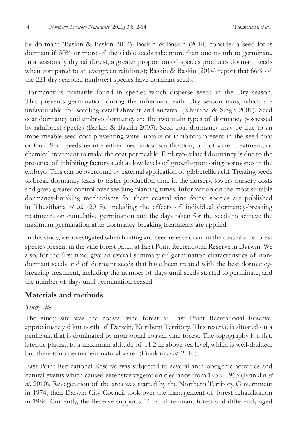be dormant (Baskin & Baskin 2014). Baskin & Baskin (2014) consider a seed lot is dormant if 50% or more of the viable seeds take more than one month to germinate. In a seasonally dry rainforest, a greater proportion of species produces dormant seeds when compared to an evergreen rainforest; Baskin & Baskin (2014) report that 66% of the 221 dry seasonal rainforest species have dormant seeds.

Dormancy is primarily found in species which disperse seeds in the Dry season. This prevents germination during the infrequent early Dry season rains, which are unfavourable for seedling establishment and survival (Khurana & Singh 2001). Seed coat dormancy and embryo dormancy are the two main types of dormancy possessed by rainforest species (Baskin & Baskin 2005). Seed coat dormancy may be due to an impermeable seed coat preventing water uptake or inhibitors present in the seed coat or fruit. Such seeds require either mechanical scarification, or hot water treatment, or chemical treatment to make the coat permeable. Embryo-related dormancy is due to the presence of inhibiting factors such as low levels of growth-promoting hormones in the embryo. This can be overcome by external application of gibberellic acid. Treating seeds to break dormancy leads to faster production time in the nursery, lowers nursery costs and gives greater control over seedling planting times. Information on the most suitable dormancy-breaking mechanisms for these coastal vine forest species are published in Thusithana *et al*. (2018), including the effects of individual dormancy-breaking treatments on cumulative germination and the days taken for the seeds to achieve the maximum germination after dormancy-breaking treatments are applied.

In this study, we investigated when fruiting and seed release occur in the coastal vine forest species present in the vine forest patch at East Point Recreational Reserve in Darwin. We also, for the first time, give an overall summary of germination characteristics of nondormant seeds and of dormant seeds that have been treated with the best dormancybreaking treatment, including the number of days until seeds started to germinate, and the number of days until germination ceased.

### **Materials and methods**

#### *Study site*

The study site was the coastal vine forest at East Point Recreational Reserve, approximately 6 km north of Darwin, Northern Territory. This reserve is situated on a peninsula that is dominated by monsoonal coastal vine forest. The topography is a flat, lateritic plateau to a maximum altitude of 11.2 m above sea level, which is well-drained, but there is no permanent natural water (Franklin *et al*. 2010).

East Point Recreational Reserve was subjected to several anthropogenic activities and natural events which caused extensive vegetation clearance from 1932–1963 (Franklin *et al*. 2010). Revegetation of the area was started by the Northern Territory Government in 1974, then Darwin City Council took over the management of forest rehabilitation in 1984. Currently, the Reserve supports 14 ha of remnant forest and differently aged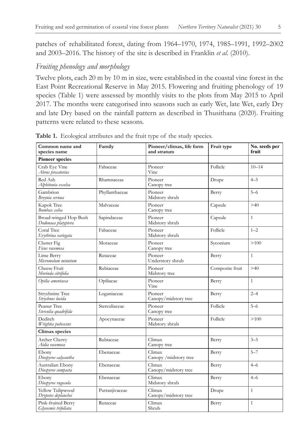patches of rehabilitated forest, dating from 1964–1970, 1974, 1985–1991, 1992–2002 and 2003–2016. The history of the site is described in Franklin *et al*. (2010).

#### *Fruiting phenology and morphology*

Twelve plots, each 20 m by 10 m in size, were established in the coastal vine forest in the East Point Recreational Reserve in May 2015. Flowering and fruiting phenology of 19 species (Table 1) were assessed by monthly visits to the plots from May 2015 to April 2017. The months were categorised into seasons such as early Wet, late Wet, early Dry and late Dry based on the rainfall pattern as described in Thusithana (2020). Fruiting patterns were related to these seasons.

| Common name and<br>species name              | Family         | Pioneer/climax, life form<br>and stratum | Fruit type      | No. seeds per<br>fruit |  |
|----------------------------------------------|----------------|------------------------------------------|-----------------|------------------------|--|
| <b>Pioneer species</b>                       |                |                                          |                 |                        |  |
| Crab Eve Vine<br>Abrus precatorius           | Fabaceae       | Pioneer<br>Vine                          | Follicle        | $10 - 14$              |  |
| Red Ash<br>Alphitonia excelsa                | Rhamnaceae     | Pioneer<br>Canopy tree                   | Drupe           | $4 - 5$                |  |
| Gambrion<br>Breynia cernua                   | Phyllanthaceae | Pioneer<br>Midstory shrub                | Berry           | $5 - 6$                |  |
| Kapok Tree<br>Bombax ceiba                   | Malvaceae      | Pioneer<br>Canopy tree                   | Capsule         | >40                    |  |
| Broad-winged Hop Bush<br>Dodonaea platyptera | Sapindaceae    | Pioneer<br>Midstory shrub                | Capsule         | $\mathbf{1}$           |  |
| Coral Tree<br>Erythrina variegata            | Fabaceae       | Pioneer<br>Midstory shrub                | Follicle        | $1 - 2$                |  |
| Cluster Fig<br>Ficus racemosa                | Moraceae       | Pioneer<br>Canopy tree                   | Syconium        | >100                   |  |
| Lime Berry<br>Micromelum minutum             | Rutaceae       | Pioneer<br>Understory shrub              | Berry           | $\mathbf{1}$           |  |
| Cheese Fruit<br>Morinda citrifolia           | Rubiaceae      | Pioneer<br>Midstory tree                 | Composite fruit | >40                    |  |
| Opilia amentacea                             | Opiliacae      | Pioneer<br>Vine                          | Berry           | $\mathbf{1}$           |  |
| Strychnine Tree<br>Strychnos lucida          | Loganiaceae    | Pioneer<br>Canopy/midstory tree          | Berry           | $2 - 4$                |  |
| Peanut Tree<br>Sterculia quadrifida          | Sterculiaceae  | Pioneer<br>Canopy tree                   | Follicle        | $5 - 6$                |  |
| Dediteh<br>Wrightia pubescens                | Apocynaceae    | Pioneer<br>Midstory shrub                | Follicle        | >100                   |  |
| Climax species                               |                |                                          |                 |                        |  |
| Archer Cherry<br>Aidia racemosa              | Rubiaceae      | Climax<br>Berry<br>Canopy tree           |                 | $3 - 5$                |  |
| Ebony<br>Diospyros calycantha                | Ebenaceae      | Climax<br>Canopy / midstory tree         | Berry           | $5 - 7$                |  |
| Australian Ebony<br>Diospyros compacta       | Ebenaceae      | Climax<br>Canopy/midstory tree           | Berry           | $4 - 6$                |  |
| Ebony<br>Diospyros rugosula                  | Ebenaceae      | Climax<br>Midstory shrub                 | Berry           | $4 - 6$                |  |
| Yellow Tulipwood<br>Drypetes deplanchei      | Putranjivaceae | Climax<br>Canopy/midstory tree           | Drupe           | $\mathbf{1}$           |  |
| Pink-fruited Berry<br>Glycosmis trifoliata   | Rutaceae       | Climax<br>Shrub                          | Berry           | $\mathbf{1}$           |  |

**Table 1.** Ecological attributes and the fruit type of the study species.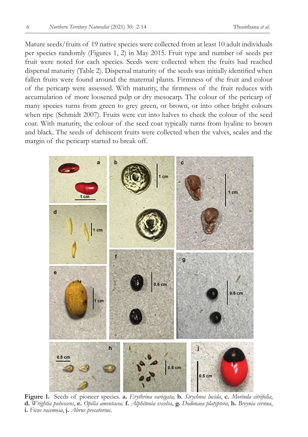Mature seeds/fruits of 19 native species were collected from at least 10 adult individuals per species randomly (Figures 1, 2) in May 2015. Fruit type and number of seeds per fruit were noted for each species. Seeds were collected when the fruits had reached dispersal maturity (Table 2). Dispersal maturity of the seeds was initially identified when fallen fruits were found around the maternal plants. Firmness of the fruit and colour of the pericarp were assessed. With maturity, the firmness of the fruit reduces with accumulation of more loosened pulp or dry mesocarp. The colour of the pericarp of many species turns from green to grey green, or brown, or into other bright colours when ripe (Schmidt 2007). Fruits were cut into halves to check the colour of the seed coat. With maturity, the colour of the seed coat typically turns from hyaline to brown and black. The seeds of dehiscent fruits were collected when the valves, scales and the margin of the pericarp started to break off.



**Figure 1.** Seeds of pioneer species. **a.** *Erythrina variegata,* **b.** *Strychnos lucida*, **c.** *Morinda citrifolia*, **d.** *Wrightia pubescens*, **e.** *Opilia amentacea*. **f.** *Alphitonia excelsa*, **g.** *Dodonaea platyptera*, **h.** *Breynia cernua*, **i.** *Ficus racemosa*, **j.** *Abrus precatorius*.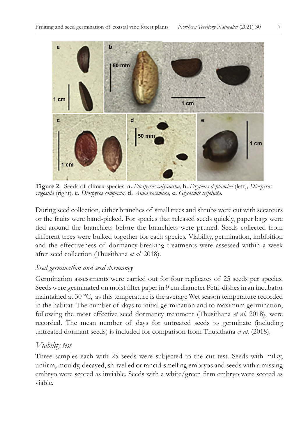

**Figure 2.** Seeds of climax species. **a.** *Diospyros calycantha,* **b.** *Drypetes deplanchei* (left)*, Diospyros rugosula* (right)*,* **c.** *Diospyros compacta,* **d.** *Aidia racemosa,* **e.** *Glycosmis trifoliata.*

During seed collection, either branches of small trees and shrubs were cut with secateurs or the fruits were hand-picked. For species that released seeds quickly, paper bags were tied around the branchlets before the branchlets were pruned. Seeds collected from different trees were bulked together for each species. Viability, germination, imbibition and the effectiveness of dormancy-breaking treatments were assessed within a week after seed collection (Thusithana *et al*. 2018).

## *Seed germination and seed dormancy*

Germination assessments were carried out for four replicates of 25 seeds per species. Seeds were germinated on moist filter paper in 9 cm diameter Petri-dishes in an incubator maintained at 30 °C, as this temperature is the average Wet season temperature recorded in the habitat. The number of days to initial germination and to maximum germination, following the most effective seed dormancy treatment (Thusithana *et al.* 2018), were recorded. The mean number of days for untreated seeds to germinate (including untreated dormant seeds) is included for comparison from Thusithana *et al.* (2018).

# *Viability test*

Three samples each with 25 seeds were subjected to the cut test. Seeds with milky, unfirm, mouldy, decayed, shrivelled or rancid-smelling embryos and seeds with a missing embryo were scored as inviable. Seeds with a white/green firm embryo were scored as viable.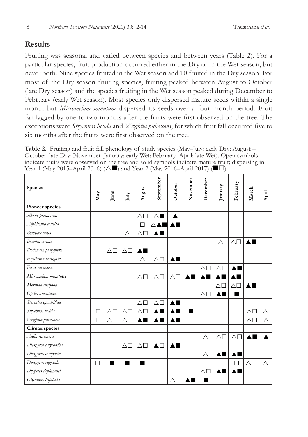## **Results**

Fruiting was seasonal and varied between species and between years (Table 2). For a particular species, fruit production occurred either in the Dry or in the Wet season, but never both. Nine species fruited in the Wet season and 10 fruited in the Dry season. For most of the Dry season fruiting species, fruiting peaked between August to October (late Dry season) and the species fruiting in the Wet season peaked during December to February (early Wet season). Most species only dispersed mature seeds within a single month but *Micromelum minutum* dispersed its seeds over a four month period. Fruit fall lagged by one to two months after the fruits were first observed on the tree. The exceptions were *Strychnos lucida* and *Wrightia pubescens*, for which fruit fall occurred five to six months after the fruits were first observed on the tree.

**Table 2.** Fruiting and fruit fall phenology of study species (May–July: early Dry; August – October: late Dry; November–January: early Wet: February–April: late Wet). Open symbols indicate fruits were observed on the tree and solid symbols indicate mature fruit; dispersing in Year 1 (May 2015–April 2016) ( $\Delta$ ) and Year 2 (May 2016–April 2017) ( $\square$ ).

| Species              | May | June             | July               | August                        | September             | October            | November | December         | January          | February           | March                         | April |
|----------------------|-----|------------------|--------------------|-------------------------------|-----------------------|--------------------|----------|------------------|------------------|--------------------|-------------------------------|-------|
| Pioneer species      |     |                  |                    |                               |                       |                    |          |                  |                  |                    |                               |       |
| Abrus precatorius    |     |                  |                    | $\triangle \Box$              | $\triangle$           | A                  |          |                  |                  |                    |                               |       |
| Alphitonia excelsa   |     |                  |                    | П                             |                       |                    |          |                  |                  |                    |                               |       |
| Bombax ceiba         |     |                  | Δ                  | $\triangle\Box$               |                       |                    |          |                  |                  |                    |                               |       |
| Breynia cernua       |     |                  |                    |                               |                       |                    |          |                  | Δ                | $\triangle \Box$   |                               |       |
| Dodonaea platyptera  |     | $\triangle \Box$ | $\triangle\square$ | $\blacktriangle \blacksquare$ |                       |                    |          |                  |                  |                    |                               |       |
| Erythrina variegata  |     |                  |                    | Δ                             | $\triangle\square$    | ▲■                 |          |                  |                  |                    |                               |       |
| Ficus racemosa       |     |                  |                    |                               |                       |                    |          | $\triangle \Box$ | $\triangle \Box$ |                    |                               |       |
| Micromelum minutum   |     |                  |                    | $\triangle \Box$              | $\triangle \Box$      | $\triangle \Box$   |          |                  |                  |                    |                               |       |
| Morinda citrifolia   |     |                  |                    |                               |                       |                    |          |                  | Δ                | $\triangle \Box$   | $\blacktriangle \blacksquare$ |       |
| Opilia amentacea     |     |                  |                    |                               |                       |                    |          | $\triangle \Box$ | ▲■               |                    |                               |       |
| Sterculia quadrifida |     |                  |                    | $\triangle \Box$              | $\triangle \Box$      |                    |          |                  |                  |                    |                               |       |
| Strychnos lucida     | П   | $\triangle \Box$ | $\triangle \Box$   | $\triangle\Gamma$             |                       |                    |          |                  |                  |                    | $\triangle\Box$               | Δ     |
| Wrightia pubescens   | П   | $\triangle \Box$ | $\triangle \Box$   |                               |                       |                    |          |                  |                  |                    | $\triangle\Box$               | Δ     |
| Climax species       |     |                  |                    |                               |                       |                    |          |                  |                  |                    |                               |       |
| Aidia racemosa       |     |                  |                    |                               |                       |                    |          | $\triangle$      | $\triangle \Box$ | $\triangle \Box$   |                               |       |
| Diospyros calycantha |     |                  | $\triangle \Box$   | $\triangle \Box$              | $\blacktriangle \Box$ | $\blacktriangle$ 1 |          |                  |                  |                    |                               |       |
| Diospyros compacta   |     |                  |                    |                               |                       |                    |          | Δ                | AI<br>٠          |                    |                               |       |
| Diospyros rugosula   | П   | ٠                |                    | ٠                             |                       |                    |          |                  |                  |                    | $\triangle \Box$              | Δ     |
| Drypetes deplanchei  |     |                  |                    |                               |                       |                    |          | $\triangle \Box$ | ▲■               | $\blacktriangle$ 1 |                               |       |
| Glycosmis trifoliata |     |                  |                    |                               |                       | $\triangle \Box$   |          |                  |                  |                    |                               |       |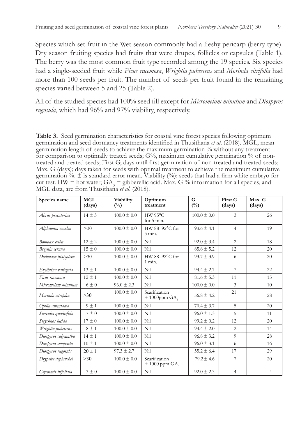Species which set fruit in the Wet season commonly had a fleshy pericarp (berry type). Dry season fruiting species had fruits that were drupes, follicles or capsules (Table 1). The berry was the most common fruit type recorded among the 19 species. Six species had a single-seeded fruit while *Ficus racemosa*, *Wrightia pubescens* and *Morinda citrifolia* had more than 100 seeds per fruit. The number of seeds per fruit found in the remaining species varied between 5 and 25 (Table 2).

All of the studied species had 100% seed fill except for *Micromelum minutum* and *Diospyros rugosula*, which had 96% and 97% viability, respectively.

**Table 3.** Seed germination characteristics for coastal vine forest species following optimum germination and seed dormancy treatments identified in Thusithana *et al*. (2018). MGL, mean germination length of seeds to achieve the maximum germination % without any treatment for comparison to optimally treated seeds;  $G%$ , maximum cumulative germination % of nontreated and treated seeds; First G, days until first germination of non-treated and treated seeds; Max. G (days); days taken for seeds with optimal treatment to achieve the maximum cumulative germination %.  $\pm$  is standard error mean. Viability (%): seeds that had a firm white embryo for cut test. HW = hot water;  $GA_3$  = gibberellic acid. Max. G % information for all species, and MGL data, are from Thusithana *et al*. (2018).

| Species name         | MGL<br>(days) | Viability<br>$(\%)$ | Optimum<br>treatment                           | G<br>$(\%)$     | First G<br>(days) | Max. G<br>(days) |
|----------------------|---------------|---------------------|------------------------------------------------|-----------------|-------------------|------------------|
| Abrus precatorius    | $14 \pm 3$    | $100.0 \pm 0.0$     | HW 95°C<br>for 5 min.                          | $100.0 \pm 0.0$ | 3                 | 26               |
| Alphitonia excelsa   | >30           | $100.0 \pm 0.0$     | HW $88-92^{\circ}$ C for<br>$5$ min.           | $93.6 \pm 4.1$  | $\overline{4}$    | 19               |
| Bombax ceiba         | $12 + 2$      | $100.0 \pm 0.0$     | Nil                                            | $92.0 \pm 3.4$  | $\overline{2}$    | 18               |
| Breynia cernua       | $15 \pm 0$    | $100.0 \pm 0.0$     | Nil                                            | $85.6 \pm 5.2$  | 12                | 20               |
| Dodonaea platyptera  | >30           | $100.0 \pm 0.0$     | HW 88-92°C for<br>$1$ min.                     | $93.7 \pm 3.9$  | 6                 | 20               |
| Erythrina variegata  | $13 \pm 1$    | $100.0 \pm 0.0$     | Nil                                            | $94.4 \pm 2.7$  | 7                 | 22               |
| Ficus racemosa       | $12 \pm 1$    | $100.0 \pm 0.0$     | Nil                                            | $81.6 \pm 5.3$  | 11                | 15               |
| Micromelum minutum   | $6\pm0$       | $96.0 \pm 2.3$      | Nil                                            | $100.0 \pm 0.0$ | 3                 | 10               |
| Morinda citrifolia   | >30           | $100.0 \pm 0.0$     | Scarification<br>$+1000$ ppm $GA$ <sub>3</sub> | $56.8 + 4.2$    | 21                | 28               |
| Opilia amentacea     | $9 \pm 1$     | $100.0 \pm 0.0$     | Nil                                            | $70.4 \pm 3.7$  | 5                 | 20               |
| Sterculia quadrifida | $7 \pm 0$     | $100.0 \pm 0.0$     | Nil                                            | $96.0 \pm 1.3$  | 5                 | 11               |
| Strychnos lucida     | $17 \pm 0$    | $100.0 \pm 0.0$     | Nil                                            | $99.2 \pm 0.2$  | 12                | 20               |
| Wrightia pubescens   | $8 \pm 1$     | $100.0 \pm 0.0$     | Nil                                            | $94.4 \pm 2.0$  | $\overline{2}$    | 14               |
| Diospyros calycantha | $14 \pm 1$    | $100.0 \pm 0.0$     | Nil                                            | $96.8 \pm 3.2$  | 9                 | 28               |
| Diospyros compacta   | $10 \pm 1$    | $100.0 \pm 0.0$     | Nil                                            | $96.0 \pm 3.1$  | 6                 | 16               |
| Diospyros rugosula   | $20 \pm 1$    | $97.3 \pm 2.7$      | Nil                                            | $55.2 \pm 6.4$  | 17                | 29               |
| Drypetes deplanchei  | >30           | $100.0 \pm 0.0$     | Scarification<br>$+1000$ ppm $GA$ <sub>3</sub> | $79.2 \pm 4.6$  | 7                 | 20               |
| Glycosmis trifoliata | $3 \pm 0$     | $100.0 \pm 0.0$     | Nil                                            | $92.0 \pm 2.3$  | $\overline{4}$    | $\overline{4}$   |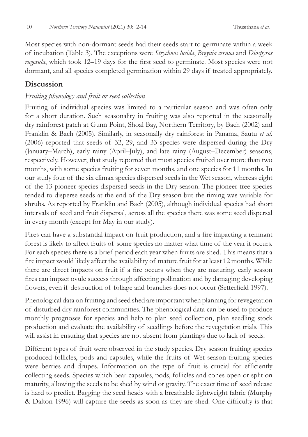Most species with non-dormant seeds had their seeds start to germinate within a week of incubation (Table 3). The exceptions were *Strychnos lucida*, *Breynia cernua* and *Diospyros rugosula*, which took 12–19 days for the first seed to germinate. Most species were not dormant, and all species completed germination within 29 days if treated appropriately.

## **Discussion**

#### *Fruiting phenology and fruit or seed collection*

Fruiting of individual species was limited to a particular season and was often only for a short duration. Such seasonality in fruiting was also reported in the seasonally dry rainforest patch at Gunn Point, Shoal Bay, Northern Territory, by Bach (2002) and Franklin & Bach (2005). Similarly, in seasonally dry rainforest in Panama, Sautu *et al*. (2006) reported that seeds of 32, 29, and 33 species were dispersed during the Dry (January–March), early rainy (April–July), and late rainy (August–December) seasons, respectively. However, that study reported that most species fruited over more than two months, with some species fruiting for seven months, and one species for 11 months. In our study four of the six climax species dispersed seeds in the Wet season, whereas eight of the 13 pioneer species dispersed seeds in the Dry season. The pioneer tree species tended to disperse seeds at the end of the Dry season but the timing was variable for shrubs. As reported by Franklin and Bach (2005), although individual species had short intervals of seed and fruit dispersal, across all the species there was some seed dispersal in every month (except for May in our study).

Fires can have a substantial impact on fruit production, and a fire impacting a remnant forest is likely to affect fruits of some species no matter what time of the year it occurs. For each species there is a brief period each year when fruits are shed. This means that a fire impact would likely affect the availability of mature fruit for at least 12 months. While there are direct impacts on fruit if a fire occurs when they are maturing, early season fires can impact ovule success through affecting pollination and by damaging developing flowers, even if destruction of foliage and branches does not occur (Setterfield 1997).

Phenological data on fruiting and seed shed are important when planning for revegetation of disturbed dry rainforest communities. The phenological data can be used to produce monthly prognoses for species and help to plan seed collection, plan seedling stock production and evaluate the availability of seedlings before the revegetation trials. This will assist in ensuring that species are not absent from plantings due to lack of seeds.

Different types of fruit were observed in the study species. Dry season fruiting species produced follicles, pods and capsules, while the fruits of Wet season fruiting species were berries and drupes. Information on the type of fruit is crucial for efficiently collecting seeds. Species which bear capsules, pods, follicles and cones open or split on maturity, allowing the seeds to be shed by wind or gravity. The exact time of seed release is hard to predict. Bagging the seed heads with a breathable lightweight fabric (Murphy & Dalton 1996) will capture the seeds as soon as they are shed. One difficulty is that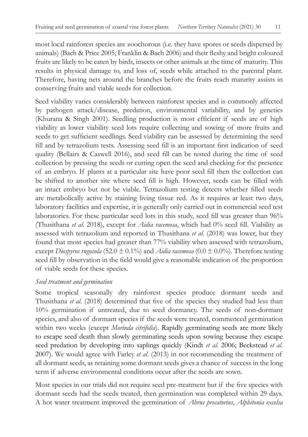most local rainforest species are zoochorous (i.e. they have spores or seeds dispersed by animals) (Bach & Price 2005; Franklin & Bach 2006) and their fleshy and bright coloured fruits are likely to be eaten by birds, insects or other animals at the time of maturity. This results in physical damage to, and loss of, seeds while attached to the parental plant. Therefore, having nets around the branches before the fruits reach maturity assists in conserving fruits and viable seeds for collection.

Seed viability varies considerably between rainforest species and is commonly affected by pathogen attack/disease, predation, environmental variability, and by genetics (Khurana & Singh 2001). Seedling production is most efficient if seeds are of high viability as lower viability seed lots require collecting and sowing of more fruits and seeds to get sufficient seedlings. Seed viability can be assessed by determining the seed fill and by tetrazolium tests. Assessing seed fill is an important first indication of seed quality (Bellairs & Caswell 2016), and seed fill can be tested during the time of seed collection by pressing the seeds or cutting open the seed and checking for the presence of an embryo. If plants at a particular site have poor seed fill then the collection can be shifted to another site where seed fill is high. However, seeds can be filled with an intact embryo but not be viable. Tetrazolium testing detects whether filled seeds are metabolically active by staining living tissue red. As it requires at least two days, laboratory facilities and expertise, it is generally only carried out in commercial seed test laboratories. For these particular seed lots in this study, seed fill was greater than 96% (Thusithana *et al*. 2018), except for *Aidia racemosa*, which had 0% seed fill. Viability as assessed with tetrazolium and reported in Thusithana *et al*. (2018) was lower, but they found that most species had greater than 77% viability when assessed with tetrazolium, except *Diospyros rugosula* (52.0  $\pm$  0.1%) and *Aidia racemosa* (0.0  $\pm$  0.0%). Therefore testing seed fill by observation in the field would give a reasonable indication of the proportion of viable seeds for these species.

#### *Seed treatment and germination*

Some tropical seasonally dry rainforest species produce dormant seeds and Thusithana *et al*. (2018) determined that five of the species they studied had less than 10% germination if untreated, due to seed dormancy. The seeds of non-dormant species, and also of dormant species if the seeds were treated, commenced germination within two weeks (except *Morinda citrifolia*). Rapidly germinating seeds are more likely to escape seed death than slowly germinating seeds upon sowing because they escape seed predation by developing into saplings quickly (Kindt *et al*. 2006; Beckstead *et al*. 2007). We would agree with Farley *et al*. (2013) in not recommending the treatment of all dormant seeds, as retaining some dormant seeds gives a chance of success in the long term if adverse environmental conditions occur after the seeds are sown.

Most species in our trials did not require seed pre-treatment but if the five species with dormant seeds had the seeds treated, then germination was completed within 29 days. A hot water treatment improved the germination of *Abrus precatorius*, *Alphitonia excelsa*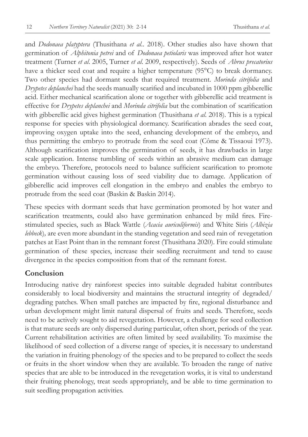and *Dodonaea platyptera* (Thusithana *et al*.. 2018). Other studies also have shown that germination of *Alphitonia petrei* and of *Dodonaea petiolaris* was improved after hot water treatment (Turner *et al*. 2005, Turner *et al*. 2009, respectively). Seeds of *Abrus precatorius* have a thicker seed coat and require a higher temperature (95°C) to break dormancy. Two other species had dormant seeds that required treatment. *Morinda citrifolia* and *Drypetes deplanchei* had the seeds manually scarified and incubated in 1000 ppm gibberellic acid. Either mechanical scarification alone or together with gibberellic acid treatment is effective for *Drypetes deplanchei* and *Morinda citrifolia* but the combination of scarification with gibberellic acid gives highest germination (Thusithana *et al*. 2018). This is a typical response for species with physiological dormancy. Scarification abrades the seed coat, improving oxygen uptake into the seed, enhancing development of the embryo, and thus permitting the embryo to protrude from the seed coat (Côme & Tissaoui 1973). Although scarification improves the germination of seeds, it has drawbacks in large scale application. Intense tumbling of seeds within an abrasive medium can damage the embryo. Therefore, protocols need to balance sufficient scarification to promote germination without causing loss of seed viability due to damage. Application of gibberellic acid improves cell elongation in the embryo and enables the embryo to protrude from the seed coat (Baskin & Baskin 2014).

These species with dormant seeds that have germination promoted by hot water and scarification treatments, could also have germination enhanced by mild fires. Firestimulated species, such as Black Wattle (*Acacia auriculiformis*) and White Siris (*Albizia lebbeck*)*,* are even more abundant in the standing vegetation and seed rain of revegetation patches at East Point than in the remnant forest (Thusithana 2020). Fire could stimulate germination of these species, increase their seedling recruitment and tend to cause divergence in the species composition from that of the remnant forest.

# **Conclusion**

Introducing native dry rainforest species into suitable degraded habitat contributes considerably to local biodiversity and maintains the structural integrity of degraded/ degrading patches. When small patches are impacted by fire, regional disturbance and urban development might limit natural dispersal of fruits and seeds. Therefore, seeds need to be actively sought to aid revegetation. However, a challenge for seed collection is that mature seeds are only dispersed during particular, often short, periods of the year. Current rehabilitation activities are often limited by seed availability. To maximise the likelihood of seed collection of a diverse range of species, it is necessary to understand the variation in fruiting phenology of the species and to be prepared to collect the seeds or fruits in the short window when they are available. To broaden the range of native species that are able to be introduced in the revegetation works, it is vital to understand their fruiting phenology, treat seeds appropriately, and be able to time germination to suit seedling propagation activities.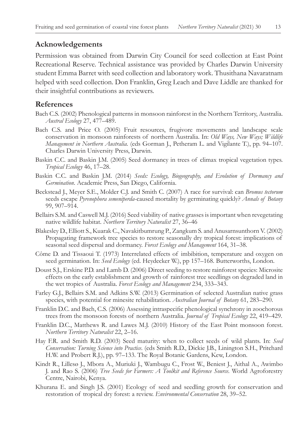#### **Acknowledgements**

Permission was obtained from Darwin City Council for seed collection at East Point Recreational Reserve. Technical assistance was provided by Charles Darwin University student Emma Barret with seed collection and laboratory work. Thusithana Navaratnam helped with seed collection. Don Franklin, Greg Leach and Dave Liddle are thanked for their insightful contributions as reviewers.

## **References**

- Bach C.S. (2002) Phenological patterns in monsoon rainforest in the Northern Territory, Australia. *Austral Ecology* 27, 477–489.
- Bach C.S. and Price O. (2005) Fruit resources, frugivore movements and landscape scale conservation in monsoon rainforests of northern Australia. In: *Old Ways, New Ways; Wildlife Management in Northern Australia.* (eds Gorman J., Petheram L. and Vigilante T.), pp. 94–107. Charles Darwin University Press, Darwin.
- Baskin C.C. and Baskin J.M. (2005) Seed dormancy in trees of climax tropical vegetation types. *Tropical Ecology* 46, 17–28.
- Baskin C.C. and Baskin J.M. (2014) *Seeds: Ecology, Biogeography, and Evolution of Dormancy and Germination*. Academic Press, San Diego, California.
- Beckstead J., Meyer S.E., Molder C.J. and Smith C. (2007) A race for survival: can *Bromus tectorum* seeds escape *Pyrenophora semeniperda*-caused mortality by germinating quickly? *Annals of Botany* 99, 907–914.
- Bellairs S.M. and Caswell M.J. (2016) Seed viability of native grasses is important when revegetating native wildlife habitat. *Northern Territory Naturalist* 27, 36–46
- Blakesley D., Elliott S., Kuarak C., Navakitbumrung P., Zangkum S. and Anusarnsunthorn V. (2002) Propagating framework tree species to restore seasonally dry tropical forest: implications of seasonal seed dispersal and dormancy. *Forest Ecology and Management* 164, 31–38.
- Côme D. and Tissaoui T. (1973) Interrelated effects of imbibition, temperature and oxygen on seed germination. In: *Seed Ecology* (ed. Heydecker W.), pp 157–168. Butterworths, London.
- Doust S.J., Erskine P.D. and Lamb D. (2006) Direct seeding to restore rainforest species: Microsite effects on the early establishment and growth of rainforest tree seedlings on degraded land in the wet tropics of Australia. *Forest Ecology and Management* 234, 333–343.
- Farley G.J., Bellairs S.M. and Adkins S.W. (2013) Germination of selected Australian native grass species, with potential for minesite rehabilitation. *Australian Journal of Botany* 61, 283–290.
- Franklin D.C. and Bach, C.S. (2006) Assessing intraspecific phenological synchrony in zoochorous trees from the monsoon forests of northern Australia. *Journal of Tropical Ecology* 22, 419–429.
- Franklin D.C., Matthews R. and Lawes M.J. (2010) History of the East Point monsoon forest. *Northern Territory Naturalist* 22, 2–16.
- Hay F.R. and Smith R.D. (2003) Seed maturity: when to collect seeds of wild plants. In: *Seed Conservation: Turning Science into Practice*. (eds Smith R.D., Dickie J.B., Linington S.H., Pritchard H.W. and Probert R.J.), pp. 97–133. The Royal Botanic Gardens, Kew, London.
- Kindt R., Lillesø J., Mbora A., Muriuki J., Wambugu C., Frost W., Beniest J., Aithal A., Awimbo J. and Rao S. (2006) *Tree Seeds for Farmers: A Toolkit and Reference Source*. World Agroforestry Centre, Nairobi, Kenya.
- Khurana E. and Singh J.S. (2001) Ecology of seed and seedling growth for conservation and restoration of tropical dry forest: a review. *Environmental Conservation* 28, 39–52.